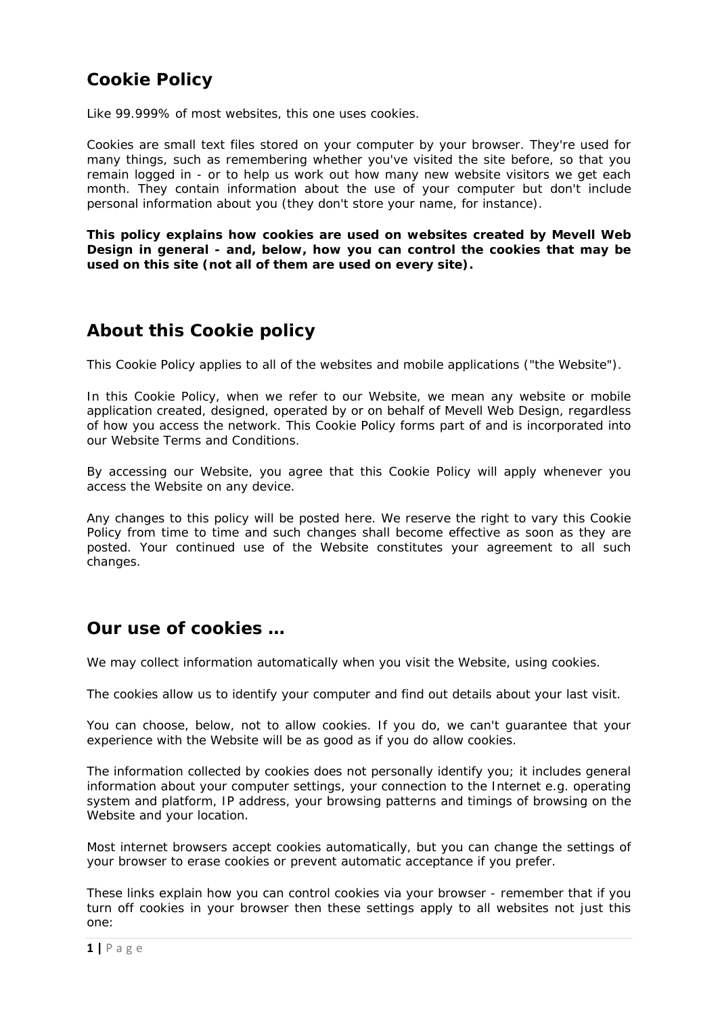# **Cookie Policy**

Like 99.999% of most websites, this one uses cookies.

Cookies are small text files stored on your computer by your browser. They're used for many things, such as remembering whether you've visited the site before, so that you remain logged in - or to help us work out how many new website visitors we get each month. They contain information about the use of your computer but don't include personal information about you (they don't store your name, for instance).

**This policy explains how cookies are used on websites created by Mevell Web Design in general - and, below, how you can control the cookies that may be used on this site (not all of them are used on every site).**

## **About this Cookie policy**

This Cookie Policy applies to all of the websites and mobile applications ("the Website").

In this Cookie Policy, when we refer to our Website, we mean any website or mobile application created, designed, operated by or on behalf of Mevell Web Design, regardless of how you access the network. This Cookie Policy forms part of and is incorporated into our Website Terms and Conditions.

By accessing our Website, you agree that this Cookie Policy will apply whenever you access the Website on any device.

Any changes to this policy will be posted here. We reserve the right to vary this Cookie Policy from time to time and such changes shall become effective as soon as they are posted. Your continued use of the Website constitutes your agreement to all such changes.

## **Our use of cookies …**

We may collect information automatically when you visit the Website, using cookies.

The cookies allow us to identify your computer and find out details about your last visit.

You can choose, below, not to allow cookies. If you do, we can't guarantee that your experience with the Website will be as good as if you do allow cookies.

The information collected by cookies does not personally identify you; it includes general information about your computer settings, your connection to the Internet e.g. operating system and platform, IP address, your browsing patterns and timings of browsing on the Website and your location.

Most internet browsers accept cookies automatically, but you can change the settings of your browser to erase cookies or prevent automatic acceptance if you prefer.

These links explain how you can control cookies via your browser - remember that if you turn off cookies in your browser then these settings apply to all websites not just this one: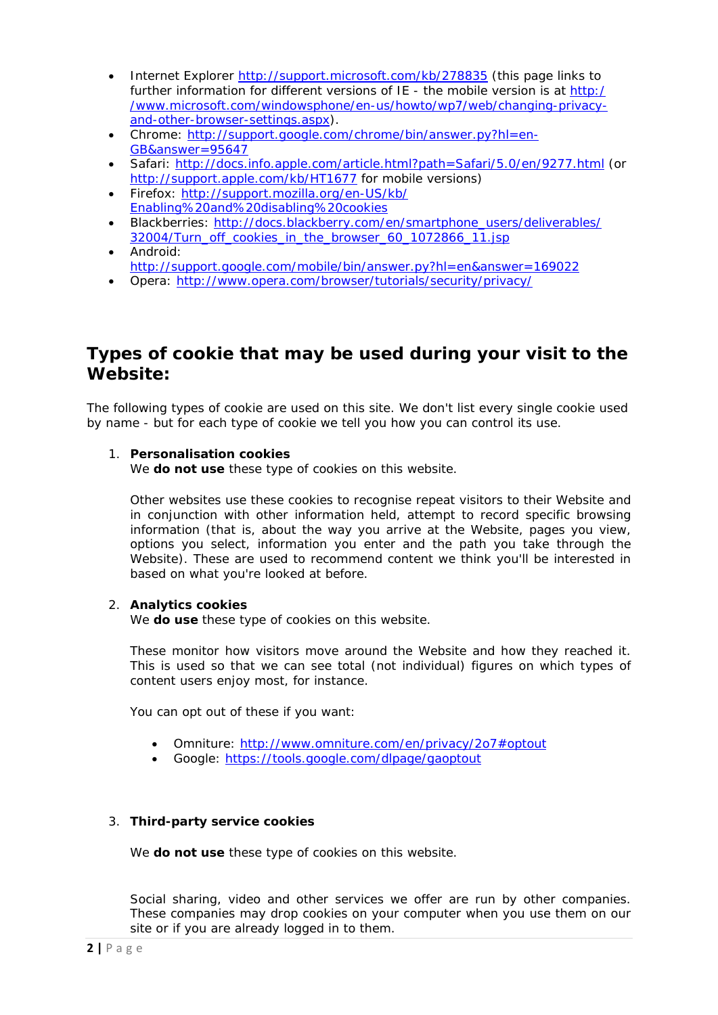- Internet Explorer http://support.microsoft.com/kb/278835 (this page links to further information for different versions of IE - the mobile version is at http:/ /www.microsoft.com/windowsphone/en-us/howto/wp7/web/changing-privacyand-other-browser-settings.aspx).
- Chrome: http://support.google.com/chrome/bin/answer.py?hl=en-GB&answer=95647
- Safari: http://docs.info.apple.com/article.html?path=Safari/5.0/en/9277.html (or http://support.apple.com/kb/HT1677 for mobile versions)
- Firefox: http://support.mozilla.org/en-US/kb/ Enabling%20and%20disabling%20cookies
- Blackberries: http://docs.blackberry.com/en/smartphone\_users/deliverables/ 32004/Turn\_off\_cookies\_in\_the\_browser\_60\_1072866\_11.jsp
- Android: http://support.google.com/mobile/bin/answer.py?hl=en&answer=169022
- Opera: http://www.opera.com/browser/tutorials/security/privacy/

## **Types of cookie that may be used during your visit to the Website:**

The following types of cookie are used on this site. We don't list every single cookie used by name - but for each type of cookie we tell you how you can control its use.

### 1. **Personalisation cookies**

We **do not use** these type of cookies on this website.

Other websites use these cookies to recognise repeat visitors to their Website and in conjunction with other information held, attempt to record specific browsing information (that is, about the way you arrive at the Website, pages you view, options you select, information you enter and the path you take through the Website). These are used to recommend content we think you'll be interested in based on what you're looked at before.

### 2. **Analytics cookies**

We **do use** these type of cookies on this website.

These monitor how visitors move around the Website and how they reached it. This is used so that we can see total (not individual) figures on which types of content users enjoy most, for instance.

You can opt out of these if you want:

- Omniture: http://www.omniture.com/en/privacy/2o7#optout
- Google: https://tools.google.com/dlpage/gaoptout

### 3. **Third-party service cookies**

We **do not use** these type of cookies on this website.

Social sharing, video and other services we offer are run by other companies. These companies may drop cookies on your computer when you use them on our site or if you are already logged in to them.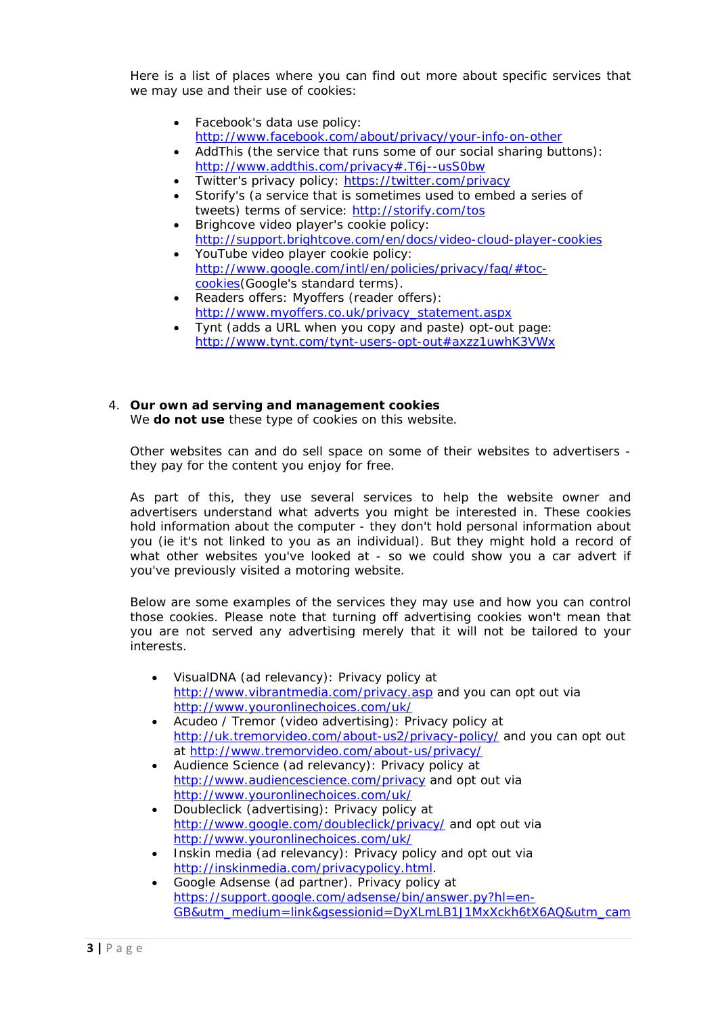Here is a list of places where you can find out more about specific services that we may use and their use of cookies:

- Facebook's data use policy: http://www.facebook.com/about/privacy/your-info-on-other
- AddThis (the service that runs some of our social sharing buttons): http://www.addthis.com/privacy#.T6j--usS0bw
	- Twitter's privacy policy: https://twitter.com/privacy
- Storify's (a service that is sometimes used to embed a series of tweets) terms of service: http://storify.com/tos
- Brighcove video player's cookie policy: http://support.brightcove.com/en/docs/video-cloud-player-cookies
- YouTube video player cookie policy: http://www.google.com/intl/en/policies/privacy/faq/#toccookies(Google's standard terms).
- Readers offers: Myoffers (reader offers): http://www.myoffers.co.uk/privacy\_statement.aspx
- Tynt (adds a URL when you copy and paste) opt-out page: http://www.tynt.com/tynt-users-opt-out#axzz1uwhK3VWx

#### 4. **Our own ad serving and management cookies** We **do not use** these type of cookies on this website.

Other websites can and do sell space on some of their websites to advertisers they pay for the content you enjoy for free.

As part of this, they use several services to help the website owner and advertisers understand what adverts you might be interested in. These cookies hold information about the computer - they don't hold personal information about you (ie it's not linked to you as an individual). But they might hold a record of what other websites you've looked at - so we could show you a car advert if you've previously visited a motoring website.

Below are some examples of the services they may use and how you can control those cookies. Please note that turning off advertising cookies won't mean that you are not served any advertising merely that it will not be tailored to your interests.

- VisualDNA (ad relevancy): Privacy policy at http://www.vibrantmedia.com/privacy.asp and you can opt out via http://www.youronlinechoices.com/uk/
- Acudeo / Tremor (video advertising): Privacy policy at http://uk.tremorvideo.com/about-us2/privacy-policy/ and you can opt out at http://www.tremorvideo.com/about-us/privacy/
- Audience Science (ad relevancy): Privacy policy at http://www.audiencescience.com/privacy and opt out via http://www.youronlinechoices.com/uk/
- Doubleclick (advertising): Privacy policy at http://www.google.com/doubleclick/privacy/ and opt out via http://www.youronlinechoices.com/uk/
- Inskin media (ad relevancy): Privacy policy and opt out via http://inskinmedia.com/privacypolicy.html.
- Google Adsense (ad partner). Privacy policy at https://support.google.com/adsense/bin/answer.py?hl=en-GB&utm\_medium=link&gsessionid=DyXLmLB1J1MxXckh6tX6AQ&utm\_cam